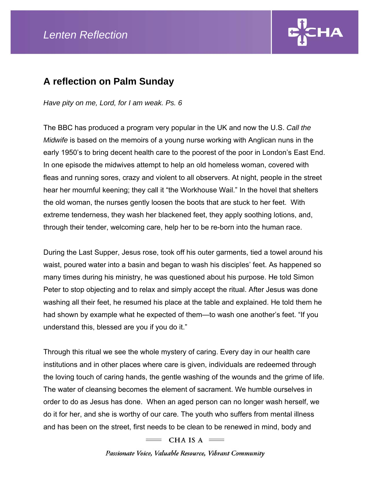

## **A reflection on Palm Sunday**

*Have pity on me, Lord, for I am weak. Ps. 6* 

The BBC has produced a program very popular in the UK and now the U.S. *Call the Midwife* is based on the memoirs of a young nurse working with Anglican nuns in the early 1950's to bring decent health care to the poorest of the poor in London's East End. In one episode the midwives attempt to help an old homeless woman, covered with fleas and running sores, crazy and violent to all observers. At night, people in the street hear her mournful keening; they call it "the Workhouse Wail." In the hovel that shelters the old woman, the nurses gently loosen the boots that are stuck to her feet. With extreme tenderness, they wash her blackened feet, they apply soothing lotions, and, through their tender, welcoming care, help her to be re-born into the human race.

During the Last Supper, Jesus rose, took off his outer garments, tied a towel around his waist, poured water into a basin and began to wash his disciples' feet. As happened so many times during his ministry, he was questioned about his purpose. He told Simon Peter to stop objecting and to relax and simply accept the ritual. After Jesus was done washing all their feet, he resumed his place at the table and explained. He told them he had shown by example what he expected of them—to wash one another's feet. "If you understand this, blessed are you if you do it."

Through this ritual we see the whole mystery of caring. Every day in our health care institutions and in other places where care is given, individuals are redeemed through the loving touch of caring hands, the gentle washing of the wounds and the grime of life. The water of cleansing becomes the element of sacrament. We humble ourselves in order to do as Jesus has done. When an aged person can no longer wash herself, we do it for her, and she is worthy of our care. The youth who suffers from mental illness and has been on the street, first needs to be clean to be renewed in mind, body and

 $=$  CHA IS A  $=$ 

Passionate Voice, Valuable Resource, Vibrant Community